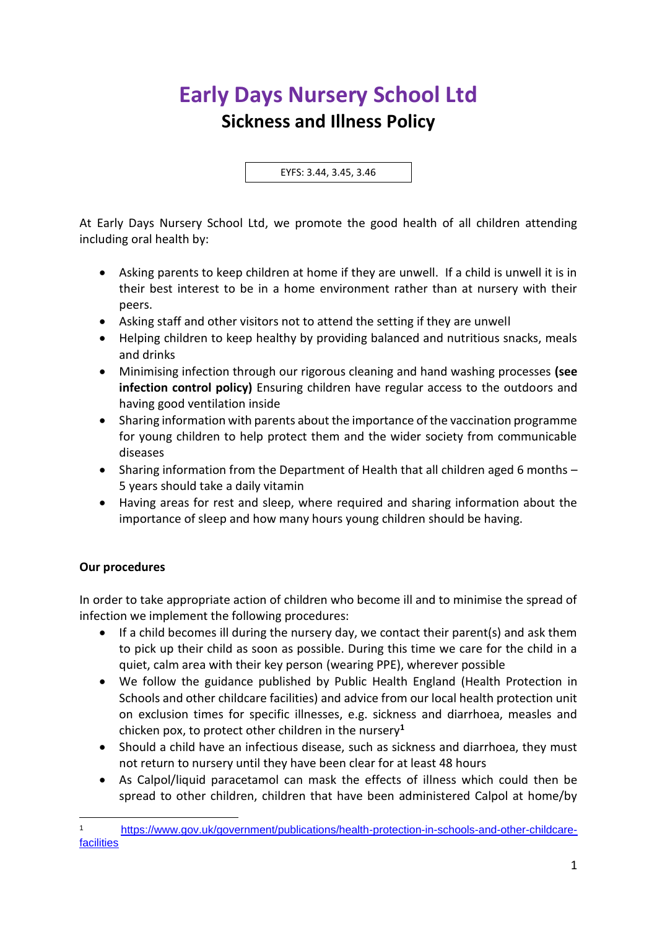## **Early Days Nursery School Ltd Sickness and Illness Policy**

EYFS: 3.44, 3.45, 3.46

At Early Days Nursery School Ltd, we promote the good health of all children attending including oral health by:

- Asking parents to keep children at home if they are unwell. If a child is unwell it is in their best interest to be in a home environment rather than at nursery with their peers.
- Asking staff and other visitors not to attend the setting if they are unwell
- Helping children to keep healthy by providing balanced and nutritious snacks, meals and drinks
- Minimising infection through our rigorous cleaning and hand washing processes **(see infection control policy)** Ensuring children have regular access to the outdoors and having good ventilation inside
- Sharing information with parents about the importance of the vaccination programme for young children to help protect them and the wider society from communicable diseases
- Sharing information from the Department of Health that all children aged 6 months 5 years should take a daily vitamin
- Having areas for rest and sleep, where required and sharing information about the importance of sleep and how many hours young children should be having.

## **Our procedures**

In order to take appropriate action of children who become ill and to minimise the spread of infection we implement the following procedures:

- If a child becomes ill during the nursery day, we contact their parent(s) and ask them to pick up their child as soon as possible. During this time we care for the child in a quiet, calm area with their key person (wearing PPE), wherever possible
- We follow the guidance published by Public Health England (Health Protection in Schools and other childcare facilities) and advice from our local health protection unit on exclusion times for specific illnesses, e.g. sickness and diarrhoea, measles and chicken pox, to protect other children in the nursery**<sup>1</sup>**
- Should a child have an infectious disease, such as sickness and diarrhoea, they must not return to nursery until they have been clear for at least 48 hours
- As Calpol/liquid paracetamol can mask the effects of illness which could then be spread to other children, children that have been administered Calpol at home/by

<sup>1</sup> [https://www.gov.uk/government/publications/health-protection-in-schools-and-other-childcare](https://www.gov.uk/government/publications/health-protection-in-schools-and-other-childcare-facilities)[facilities](https://www.gov.uk/government/publications/health-protection-in-schools-and-other-childcare-facilities)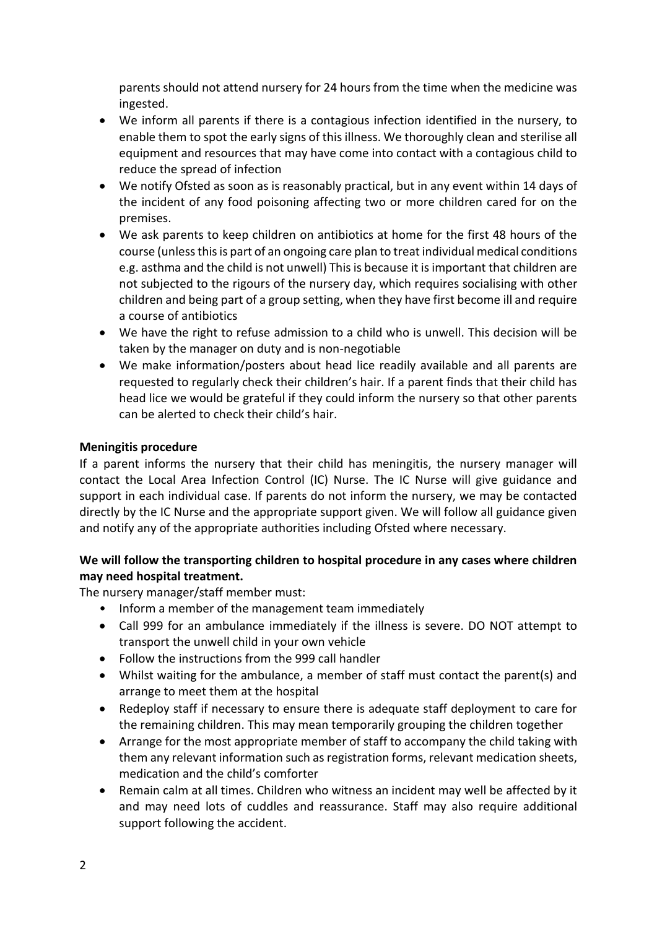parents should not attend nursery for 24 hours from the time when the medicine was ingested.

- We inform all parents if there is a contagious infection identified in the nursery, to enable them to spot the early signs of this illness. We thoroughly clean and sterilise all equipment and resources that may have come into contact with a contagious child to reduce the spread of infection
- We notify Ofsted as soon as is reasonably practical, but in any event within 14 days of the incident of any food poisoning affecting two or more children cared for on the premises.
- We ask parents to keep children on antibiotics at home for the first 48 hours of the course (unless this is part of an ongoing care plan to treat individual medical conditions e.g. asthma and the child is not unwell) This is because it is important that children are not subjected to the rigours of the nursery day, which requires socialising with other children and being part of a group setting, when they have first become ill and require a course of antibiotics
- We have the right to refuse admission to a child who is unwell. This decision will be taken by the manager on duty and is non-negotiable
- We make information/posters about head lice readily available and all parents are requested to regularly check their children's hair. If a parent finds that their child has head lice we would be grateful if they could inform the nursery so that other parents can be alerted to check their child's hair.

## **Meningitis procedure**

If a parent informs the nursery that their child has meningitis, the nursery manager will contact the Local Area Infection Control (IC) Nurse. The IC Nurse will give guidance and support in each individual case. If parents do not inform the nursery, we may be contacted directly by the IC Nurse and the appropriate support given. We will follow all guidance given and notify any of the appropriate authorities including Ofsted where necessary.

## **We will follow the transporting children to hospital procedure in any cases where children may need hospital treatment.**

The nursery manager/staff member must:

- Inform a member of the management team immediately
- Call 999 for an ambulance immediately if the illness is severe. DO NOT attempt to transport the unwell child in your own vehicle
- Follow the instructions from the 999 call handler
- Whilst waiting for the ambulance, a member of staff must contact the parent(s) and arrange to meet them at the hospital
- Redeploy staff if necessary to ensure there is adequate staff deployment to care for the remaining children. This may mean temporarily grouping the children together
- Arrange for the most appropriate member of staff to accompany the child taking with them any relevant information such as registration forms, relevant medication sheets, medication and the child's comforter
- Remain calm at all times. Children who witness an incident may well be affected by it and may need lots of cuddles and reassurance. Staff may also require additional support following the accident.